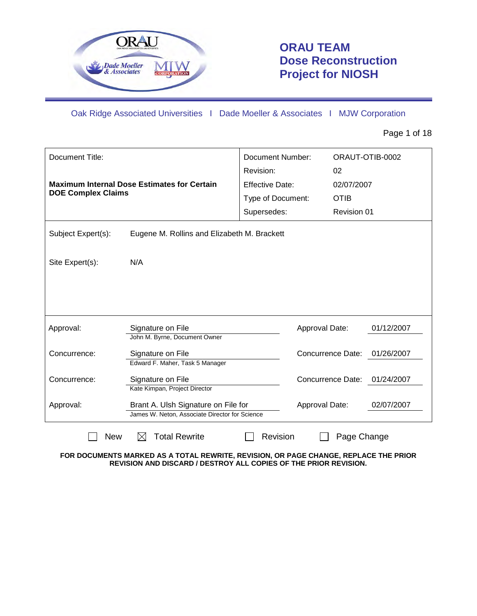

# **ORAU TEAM Dose Reconstruction Project for NIOSH**

Oak Ridge Associated Universities I Dade Moeller & Associates I MJW Corporation

Page 1 of 18

| Document Title:<br><b>DOE Complex Claims</b>                       | <b>Maximum Internal Dose Estimates for Certain</b>                                    | Document Number:<br>Revision:<br><b>Effective Date:</b><br>Type of Document:<br>Supersedes: | 02<br>02/07/2007<br><b>OTIB</b><br>Revision 01 | ORAUT-OTIB-0002 |  |
|--------------------------------------------------------------------|---------------------------------------------------------------------------------------|---------------------------------------------------------------------------------------------|------------------------------------------------|-----------------|--|
| Subject Expert(s):                                                 | Eugene M. Rollins and Elizabeth M. Brackett                                           |                                                                                             |                                                |                 |  |
| Site Expert(s):                                                    | N/A                                                                                   |                                                                                             |                                                |                 |  |
|                                                                    |                                                                                       |                                                                                             |                                                |                 |  |
| Approval:                                                          | Signature on File<br>John M. Byrne, Document Owner                                    |                                                                                             | Approval Date:                                 | 01/12/2007      |  |
| Concurrence:                                                       | Signature on File<br>Edward F. Maher, Task 5 Manager                                  |                                                                                             | Concurrence Date:                              | 01/26/2007      |  |
| Concurrence:                                                       | Signature on File<br>Kate Kimpan, Project Director                                    |                                                                                             | Concurrence Date:                              | 01/24/2007      |  |
| Approval:                                                          | Brant A. Ulsh Signature on File for<br>James W. Neton. Associate Director for Science |                                                                                             | Approval Date:                                 | 02/07/2007      |  |
| <b>Total Rewrite</b><br>Revision<br>Page Change<br><b>New</b><br>M |                                                                                       |                                                                                             |                                                |                 |  |

**FOR DOCUMENTS MARKED AS A TOTAL REWRITE, REVISION, OR PAGE CHANGE, REPLACE THE PRIOR REVISION AND DISCARD / DESTROY ALL COPIES OF THE PRIOR REVISION.**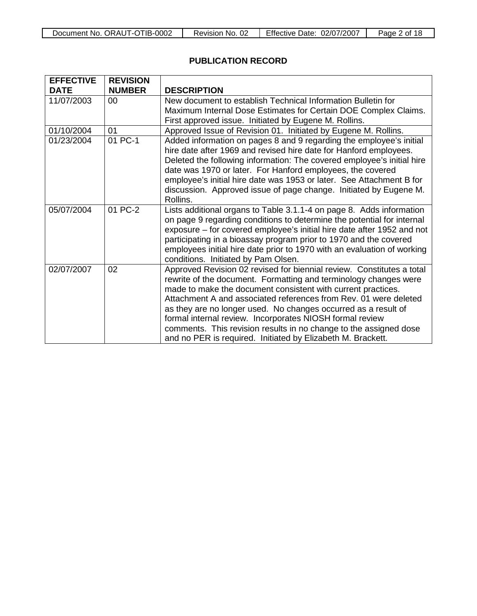## **PUBLICATION RECORD**

| <b>EFFECTIVE</b> | <b>REVISION</b> |                                                                                                                                                                                                                                                                                                                                                                                                                                                                                                                                                 |
|------------------|-----------------|-------------------------------------------------------------------------------------------------------------------------------------------------------------------------------------------------------------------------------------------------------------------------------------------------------------------------------------------------------------------------------------------------------------------------------------------------------------------------------------------------------------------------------------------------|
| <b>DATE</b>      | <b>NUMBER</b>   | <b>DESCRIPTION</b>                                                                                                                                                                                                                                                                                                                                                                                                                                                                                                                              |
| 11/07/2003       | 00              | New document to establish Technical Information Bulletin for<br>Maximum Internal Dose Estimates for Certain DOE Complex Claims.<br>First approved issue. Initiated by Eugene M. Rollins.                                                                                                                                                                                                                                                                                                                                                        |
| 01/10/2004       | 01              | Approved Issue of Revision 01. Initiated by Eugene M. Rollins.                                                                                                                                                                                                                                                                                                                                                                                                                                                                                  |
| 01/23/2004       | 01 PC-1         | Added information on pages 8 and 9 regarding the employee's initial<br>hire date after 1969 and revised hire date for Hanford employees.<br>Deleted the following information: The covered employee's initial hire<br>date was 1970 or later. For Hanford employees, the covered<br>employee's initial hire date was 1953 or later. See Attachment B for<br>discussion. Approved issue of page change. Initiated by Eugene M.<br>Rollins.                                                                                                       |
| 05/07/2004       | 01 PC-2         | Lists additional organs to Table 3.1.1-4 on page 8. Adds information<br>on page 9 regarding conditions to determine the potential for internal<br>exposure – for covered employee's initial hire date after 1952 and not<br>participating in a bioassay program prior to 1970 and the covered<br>employees initial hire date prior to 1970 with an evaluation of working<br>conditions. Initiated by Pam Olsen.                                                                                                                                 |
| 02/07/2007       | 02              | Approved Revision 02 revised for biennial review. Constitutes a total<br>rewrite of the document. Formatting and terminology changes were<br>made to make the document consistent with current practices.<br>Attachment A and associated references from Rev. 01 were deleted<br>as they are no longer used. No changes occurred as a result of<br>formal internal review. Incorporates NIOSH formal review<br>comments. This revision results in no change to the assigned dose<br>and no PER is required. Initiated by Elizabeth M. Brackett. |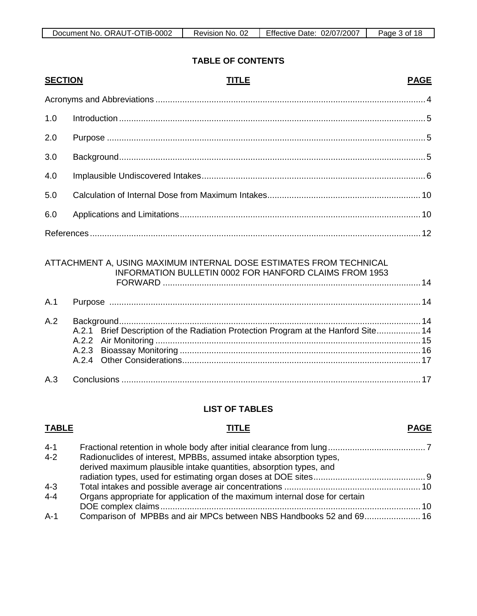## **TABLE OF CONTENTS**

| <b>SECTION</b> | <b>TITLE</b>                                                                                                                 | <b>PAGE</b> |
|----------------|------------------------------------------------------------------------------------------------------------------------------|-------------|
|                |                                                                                                                              |             |
| 1.0            |                                                                                                                              |             |
| 2.0            |                                                                                                                              |             |
| 3.0            |                                                                                                                              |             |
| 4.0            |                                                                                                                              |             |
| 5.0            |                                                                                                                              |             |
| 6.0            |                                                                                                                              |             |
|                |                                                                                                                              |             |
|                | ATTACHMENT A, USING MAXIMUM INTERNAL DOSE ESTIMATES FROM TECHNICAL<br>INFORMATION BULLETIN 0002 FOR HANFORD CLAIMS FROM 1953 |             |
| A.1            |                                                                                                                              |             |
| A.2            | Brief Description of the Radiation Protection Program at the Hanford Site 14<br>A.2.1<br>A.2.3                               |             |
| A.3            |                                                                                                                              |             |
|                | <b>LIST OF TABLES</b>                                                                                                        |             |
| <b>TABLE</b>   | <b>TITLE</b>                                                                                                                 | <b>PAGE</b> |

| $4 - 1$ |                                                                             |  |
|---------|-----------------------------------------------------------------------------|--|
| $4 - 2$ | Radionuclides of interest, MPBBs, assumed intake absorption types,          |  |
|         | derived maximum plausible intake quantities, absorption types, and          |  |
|         |                                                                             |  |
| $4 - 3$ |                                                                             |  |
| $4 - 4$ | Organs appropriate for application of the maximum internal dose for certain |  |
|         |                                                                             |  |
| $A-1$   | Comparison of MPBBs and air MPCs between NBS Handbooks 52 and 69 16         |  |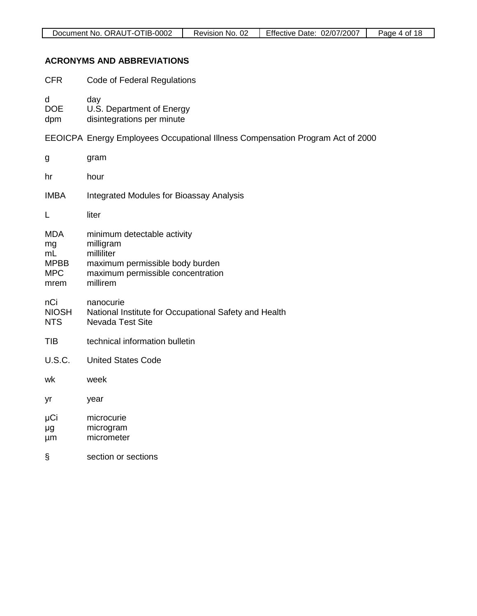## **ACRONYMS AND ABBREVIATIONS**

| <b>CFR</b>                                                  | Code of Federal Regulations                                                                                                                |
|-------------------------------------------------------------|--------------------------------------------------------------------------------------------------------------------------------------------|
| d<br><b>DOE</b><br>dpm                                      | day<br>U.S. Department of Energy<br>disintegrations per minute                                                                             |
|                                                             | EEOICPA Energy Employees Occupational Illness Compensation Program Act of 2000                                                             |
| g                                                           | gram                                                                                                                                       |
| hr                                                          | hour                                                                                                                                       |
| <b>IMBA</b>                                                 | <b>Integrated Modules for Bioassay Analysis</b>                                                                                            |
| L                                                           | liter                                                                                                                                      |
| <b>MDA</b><br>mg<br>mL<br><b>MPBB</b><br><b>MPC</b><br>mrem | minimum detectable activity<br>milligram<br>milliliter<br>maximum permissible body burden<br>maximum permissible concentration<br>millirem |
| nCi<br><b>NIOSH</b><br><b>NTS</b>                           | nanocurie<br>National Institute for Occupational Safety and Health<br><b>Nevada Test Site</b>                                              |
| <b>TIB</b>                                                  | technical information bulletin                                                                                                             |
| <b>U.S.C.</b>                                               | <b>United States Code</b>                                                                                                                  |
| wk                                                          | week                                                                                                                                       |
| yr                                                          | year                                                                                                                                       |
| μCi<br>μg<br>μm                                             | microcurie<br>microgram<br>micrometer                                                                                                      |
| Ş                                                           | section or sections                                                                                                                        |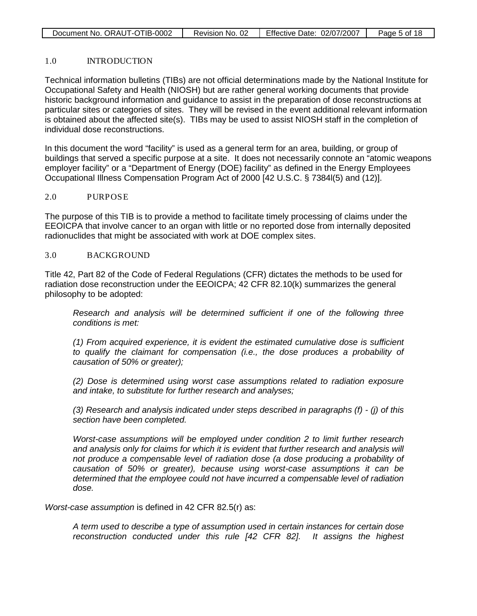| Document No. ORAUT-OTIB-0002 | Revision No. 02 | Effective Date: 02/07/2007 | Page 5 of 18 |
|------------------------------|-----------------|----------------------------|--------------|
|                              |                 |                            |              |

### 1.0 INTRODUCTION

Technical information bulletins (TIBs) are not official determinations made by the National Institute for Occupational Safety and Health (NIOSH) but are rather general working documents that provide historic background information and guidance to assist in the preparation of dose reconstructions at particular sites or categories of sites. They will be revised in the event additional relevant information is obtained about the affected site(s). TIBs may be used to assist NIOSH staff in the completion of individual dose reconstructions.

In this document the word "facility" is used as a general term for an area, building, or group of buildings that served a specific purpose at a site. It does not necessarily connote an "atomic weapons employer facility" or a "Department of Energy (DOE) facility" as defined in the Energy Employees Occupational Illness Compensation Program Act of 2000 [42 U.S.C. § 7384l(5) and (12)].

### 2.0 PURPOSE

The purpose of this TIB is to provide a method to facilitate timely processing of claims under the EEOICPA that involve cancer to an organ with little or no reported dose from internally deposited radionuclides that might be associated with work at DOE complex sites.

### 3.0 BACKGROUND

Title 42, Part 82 of the Code of Federal Regulations (CFR) dictates the methods to be used for radiation dose reconstruction under the EEOICPA; 42 CFR 82.10(k) summarizes the general philosophy to be adopted:

*Research and analysis will be determined sufficient if one of the following three conditions is met:*

*(1) From acquired experience, it is evident the estimated cumulative dose is sufficient to qualify the claimant for compensation (i.e., the dose produces a probability of causation of 50% or greater);*

*(2) Dose is determined using worst case assumptions related to radiation exposure and intake, to substitute for further research and analyses;*

*(3) Research and analysis indicated under steps described in paragraphs (f) - (j) of this section have been completed.*

*Worst-case assumptions will be employed under condition 2 to limit further research and analysis only for claims for which it is evident that further research and analysis will not produce a compensable level of radiation dose (a dose producing a probability of causation of 50% or greater), because using worst-case assumptions it can be determined that the employee could not have incurred a compensable level of radiation dose.*

*Worst-case assumption* is defined in 42 CFR 82.5(r) as:

*A term used to describe a type of assumption used in certain instances for certain dose reconstruction conducted under this rule [42 CFR 82]. It assigns the highest*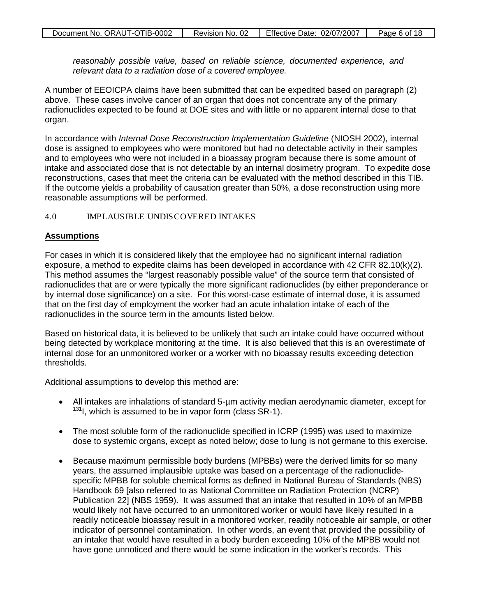*reasonably possible value, based on reliable science, documented experience, and relevant data to a radiation dose of a covered employee.*

A number of EEOICPA claims have been submitted that can be expedited based on paragraph (2) above. These cases involve cancer of an organ that does not concentrate any of the primary radionuclides expected to be found at DOE sites and with little or no apparent internal dose to that organ.

In accordance with *Internal Dose Reconstruction Implementation Guideline* (NIOSH 2002), internal dose is assigned to employees who were monitored but had no detectable activity in their samples and to employees who were not included in a bioassay program because there is some amount of intake and associated dose that is not detectable by an internal dosimetry program. To expedite dose reconstructions, cases that meet the criteria can be evaluated with the method described in this TIB. If the outcome yields a probability of causation greater than 50%, a dose reconstruction using more reasonable assumptions will be performed.

### 4.0 IMPLAUSIBLE UNDISCOVERED INTAKES

### **Assumptions**

For cases in which it is considered likely that the employee had no significant internal radiation exposure, a method to expedite claims has been developed in accordance with 42 CFR 82.10(k)(2). This method assumes the "largest reasonably possible value" of the source term that consisted of radionuclides that are or were typically the more significant radionuclides (by either preponderance or by internal dose significance) on a site. For this worst-case estimate of internal dose, it is assumed that on the first day of employment the worker had an acute inhalation intake of each of the radionuclides in the source term in the amounts listed below.

Based on historical data, it is believed to be unlikely that such an intake could have occurred without being detected by workplace monitoring at the time. It is also believed that this is an overestimate of internal dose for an unmonitored worker or a worker with no bioassay results exceeding detection thresholds.

Additional assumptions to develop this method are:

- All intakes are inhalations of standard 5-um activity median aerodynamic diameter, except for  $131$ I, which is assumed to be in vapor form (class SR-1).
- The most soluble form of the radionuclide specified in ICRP (1995) was used to maximize dose to systemic organs, except as noted below; dose to lung is not germane to this exercise.
- Because maximum permissible body burdens (MPBBs) were the derived limits for so many years, the assumed implausible uptake was based on a percentage of the radionuclidespecific MPBB for soluble chemical forms as defined in National Bureau of Standards (NBS) Handbook 69 [also referred to as National Committee on Radiation Protection (NCRP) Publication 22] (NBS 1959). It was assumed that an intake that resulted in 10% of an MPBB would likely not have occurred to an unmonitored worker or would have likely resulted in a readily noticeable bioassay result in a monitored worker, readily noticeable air sample, or other indicator of personnel contamination. In other words, an event that provided the possibility of an intake that would have resulted in a body burden exceeding 10% of the MPBB would not have gone unnoticed and there would be some indication in the worker's records. This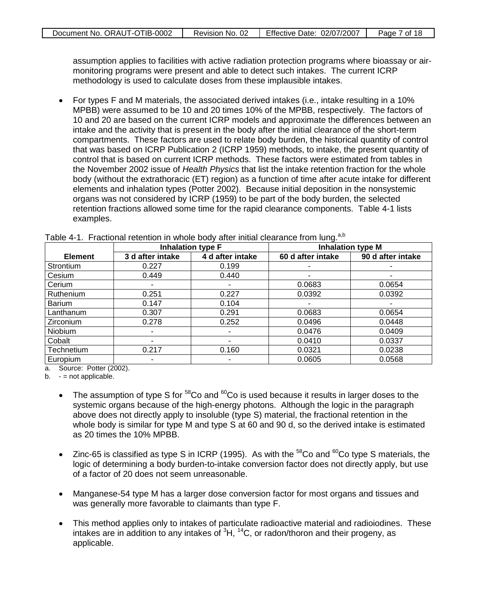assumption applies to facilities with active radiation protection programs where bioassay or airmonitoring programs were present and able to detect such intakes. The current ICRP methodology is used to calculate doses from these implausible intakes.

• For types F and M materials, the associated derived intakes (i.e., intake resulting in a 10% MPBB) were assumed to be 10 and 20 times 10% of the MPBB, respectively. The factors of 10 and 20 are based on the current ICRP models and approximate the differences between an intake and the activity that is present in the body after the initial clearance of the short-term compartments. These factors are used to relate body burden, the historical quantity of control that was based on ICRP Publication 2 (ICRP 1959) methods, to intake, the present quantity of control that is based on current ICRP methods. These factors were estimated from tables in the November 2002 issue of *Health Physics* that list the intake retention fraction for the whole body (without the extrathoracic (ET) region) as a function of time after acute intake for different elements and inhalation types (Potter 2002). Because initial deposition in the nonsystemic organs was not considered by ICRP (1959) to be part of the body burden, the selected retention fractions allowed some time for the rapid clearance components. Table 4-1 lists examples.

|                  | <b>Inhalation type F</b> |                  | <b>Inhalation type M</b> |                   |  |
|------------------|--------------------------|------------------|--------------------------|-------------------|--|
| <b>Element</b>   | 3 d after intake         | 4 d after intake | 60 d after intake        | 90 d after intake |  |
| Strontium        | 0.227                    | 0.199            |                          |                   |  |
| Cesium           | 0.449                    | 0.440            | ٠                        | ۰                 |  |
| Cerium           |                          |                  | 0.0683                   | 0.0654            |  |
| <b>Ruthenium</b> | 0.251                    | 0.227            | 0.0392                   | 0.0392            |  |
| <b>Barium</b>    | 0.147                    | 0.104            |                          |                   |  |
| Lanthanum        | 0.307                    | 0.291            | 0.0683                   | 0.0654            |  |
| Zirconium        | 0.278                    | 0.252            | 0.0496                   | 0.0448            |  |
| Niobium          |                          |                  | 0.0476                   | 0.0409            |  |
| Cobalt           |                          |                  | 0.0410                   | 0.0337            |  |
| Technetium       | 0.217                    | 0.160            | 0.0321                   | 0.0238            |  |
| Europium         |                          |                  | 0.0605                   | 0.0568            |  |

Table 4-1. Fractional retention in whole body after initial clearance from lung.<sup>a,b</sup>

a. Source: Potter (2002).

 $b. -$  = not applicable.

- The assumption of type S for  $58$ Co and  $60$ Co is used because it results in larger doses to the systemic organs because of the high-energy photons. Although the logic in the paragraph above does not directly apply to insoluble (type S) material, the fractional retention in the whole body is similar for type M and type S at 60 and 90 d, so the derived intake is estimated as 20 times the 10% MPBB.
- Zinc-65 is classified as type S in ICRP (1995). As with the  $^{58}$ Co and  $^{60}$ Co type S materials, the logic of determining a body burden-to-intake conversion factor does not directly apply, but use of a factor of 20 does not seem unreasonable.
- Manganese-54 type M has a larger dose conversion factor for most organs and tissues and was generally more favorable to claimants than type F.
- This method applies only to intakes of particulate radioactive material and radioiodines. These intakes are in addition to any intakes of  ${}^{3}H$ ,  ${}^{14}C$ , or radon/thoron and their progeny, as applicable.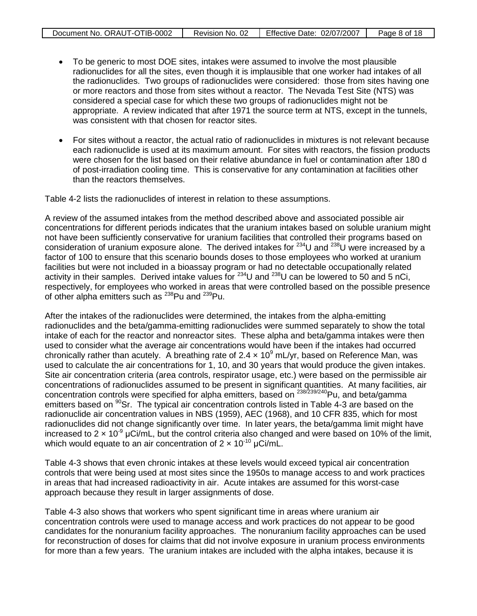| Document No. ORAUT-OTIB-0002 | Revision No. 02 | Effective Date: $02/07/2007$ | Page 8 of 18 |
|------------------------------|-----------------|------------------------------|--------------|
|------------------------------|-----------------|------------------------------|--------------|

- To be generic to most DOE sites, intakes were assumed to involve the most plausible radionuclides for all the sites, even though it is implausible that one worker had intakes of all the radionuclides. Two groups of radionuclides were considered: those from sites having one or more reactors and those from sites without a reactor. The Nevada Test Site (NTS) was considered a special case for which these two groups of radionuclides might not be appropriate. A review indicated that after 1971 the source term at NTS, except in the tunnels, was consistent with that chosen for reactor sites.
- For sites without a reactor, the actual ratio of radionuclides in mixtures is not relevant because each radionuclide is used at its maximum amount. For sites with reactors, the fission products were chosen for the list based on their relative abundance in fuel or contamination after 180 d of post-irradiation cooling time. This is conservative for any contamination at facilities other than the reactors themselves.

Table 4-2 lists the radionuclides of interest in relation to these assumptions.

A review of the assumed intakes from the method described above and associated possible air concentrations for different periods indicates that the uranium intakes based on soluble uranium might not have been sufficiently conservative for uranium facilities that controlled their programs based on consideration of uranium exposure alone. The derived intakes for <sup>234</sup>U and <sup>238</sup>U were increased by a factor of 100 to ensure that this scenario bounds doses to those employees who worked at uranium facilities but were not included in a bioassay program or had no detectable occupationally related activity in their samples. Derived intake values for  $^{234}$ U and  $^{238}$ U can be lowered to 50 and 5 nCi, respectively, for employees who worked in areas that were controlled based on the possible presence of other alpha emitters such as <sup>238</sup>Pu and <sup>239</sup>Pu.

After the intakes of the radionuclides were determined, the intakes from the alpha-emitting radionuclides and the beta/gamma-emitting radionuclides were summed separately to show the total intake of each for the reactor and nonreactor sites. These alpha and beta/gamma intakes were then used to consider what the average air concentrations would have been if the intakes had occurred chronically rather than acutely. A breathing rate of 2.4  $\times$  10<sup>9</sup> mL/yr, based on Reference Man, was used to calculate the air concentrations for 1, 10, and 30 years that would produce the given intakes. Site air concentration criteria (area controls, respirator usage, etc.) were based on the permissible air concentrations of radionuclides assumed to be present in significant quantities. At many facilities, air concentration controls were specified for alpha emitters, based on  $^{238/239/240}$ Pu, and beta/gamma emitters based on  $90$ Sr. The typical air concentration controls listed in Table 4-3 are based on the radionuclide air concentration values in NBS (1959), AEC (1968), and 10 CFR 835, which for most radionuclides did not change significantly over time. In later years, the beta/gamma limit might have increased to 2  $\times$  10<sup>-9</sup> µCi/mL, but the control criteria also changed and were based on 10% of the limit, which would equate to an air concentration of  $2 \times 10^{-10}$  µCi/mL.

Table 4-3 shows that even chronic intakes at these levels would exceed typical air concentration controls that were being used at most sites since the 1950s to manage access to and work practices in areas that had increased radioactivity in air. Acute intakes are assumed for this worst-case approach because they result in larger assignments of dose.

Table 4-3 also shows that workers who spent significant time in areas where uranium air concentration controls were used to manage access and work practices do not appear to be good candidates for the nonuranium facility approaches. The nonuranium facility approaches can be used for reconstruction of doses for claims that did not involve exposure in uranium process environments for more than a few years. The uranium intakes are included with the alpha intakes, because it is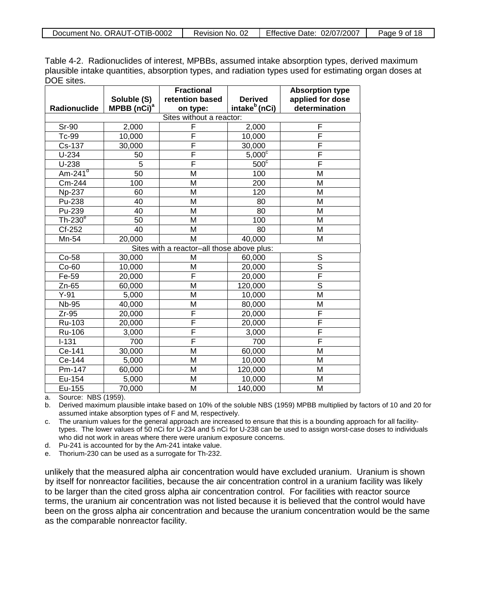Table 4-2. Radionuclides of interest, MPBBs, assumed intake absorption types, derived maximum plausible intake quantities, absorption types, and radiation types used for estimating organ doses at DOE sites.

|                 |                                            | <b>Fractional</b>       |                           | <b>Absorption type</b>  |  |
|-----------------|--------------------------------------------|-------------------------|---------------------------|-------------------------|--|
|                 | Soluble (S)                                | retention based         | <b>Derived</b>            | applied for dose        |  |
| Radionuclide    | MPBB (nCi) <sup>a</sup>                    | on type:                | intake <sup>b</sup> (nCi) | determination           |  |
|                 | Sites without a reactor:                   |                         |                           |                         |  |
| <b>Sr-90</b>    | 2,000                                      | F                       | 2,000                     | F                       |  |
| Tc-99           | 10,000                                     | F                       | 10,000                    | F                       |  |
| Cs-137          | 30,000                                     | F                       | 30,000                    | F                       |  |
| $U-234$         | 50                                         | F                       | $5,000^{\circ}$           | F                       |  |
| $U-238$         | 5                                          | F                       | $500^\circ$               | F                       |  |
| $Am-241d$       | 50                                         | M                       | 100                       | M                       |  |
| Cm-244          | 100                                        | M                       | 200                       | M                       |  |
| <b>Np-237</b>   | 60                                         | M                       | 120                       | M                       |  |
| Pu-238          | 40                                         | M                       | 80                        | M                       |  |
| Pu-239          | 40                                         | M                       | 80                        | M                       |  |
| Th- $230^\circ$ | 50                                         | M                       | 100                       | M                       |  |
| Cf-252          | 40                                         | M                       | 80                        | M                       |  |
| Mn-54           | 20,000                                     | M                       | 40,000                    | M                       |  |
|                 | Sites with a reactor-all those above plus: |                         |                           |                         |  |
| Co-58           | 30,000                                     | M                       | 60,000                    | $\mathbb S$             |  |
| $Co-60$         | 10,000                                     | M                       | 20,000                    | $\overline{\mathsf{s}}$ |  |
| Fe-59           | 20,000                                     | F                       | 20,000                    | $\overline{\mathsf{F}}$ |  |
| $Zn-65$         | 60,000                                     | M                       | 120,000                   | $\overline{\mathsf{s}}$ |  |
| $Y-91$          | 5,000                                      | M                       | 10,000                    | $\overline{\mathsf{M}}$ |  |
| <b>Nb-95</b>    | 40,000                                     | M                       | 80,000                    | M                       |  |
| $Zr-95$         | 20,000                                     | F                       | 20,000                    | F                       |  |
| Ru-103          | 20,000                                     | F                       | 20,000                    | F                       |  |
| Ru-106          | 3,000                                      | $\overline{\mathsf{F}}$ | 3,000                     | F                       |  |
| $I-131$         | 700                                        | F                       | 700                       | F                       |  |
| Ce-141          | 30,000                                     | M                       | 60,000                    | M                       |  |
| Ce-144          | 5,000                                      | M                       | 10,000                    | M                       |  |
| Pm-147          | 60,000                                     | M                       | 120,000                   | M                       |  |
| Eu-154          | 5,000                                      | M                       | 10,000                    | M                       |  |
| Eu-155          | 70,000                                     | M                       | 140,000                   | M                       |  |

a. Source: NBS (1959).

b. Derived maximum plausible intake based on 10% of the soluble NBS (1959) MPBB multiplied by factors of 10 and 20 for assumed intake absorption types of F and M, respectively.

c. The uranium values for the general approach are increased to ensure that this is a bounding approach for all facilitytypes. The lower values of 50 nCi for U-234 and 5 nCi for U-238 can be used to assign worst-case doses to individuals who did not work in areas where there were uranium exposure concerns.

d. Pu-241 is accounted for by the Am-241 intake value.

e. Thorium-230 can be used as a surrogate for Th-232.

unlikely that the measured alpha air concentration would have excluded uranium. Uranium is shown by itself for nonreactor facilities, because the air concentration control in a uranium facility was likely to be larger than the cited gross alpha air concentration control. For facilities with reactor source terms, the uranium air concentration was not listed because it is believed that the control would have been on the gross alpha air concentration and because the uranium concentration would be the same as the comparable nonreactor facility.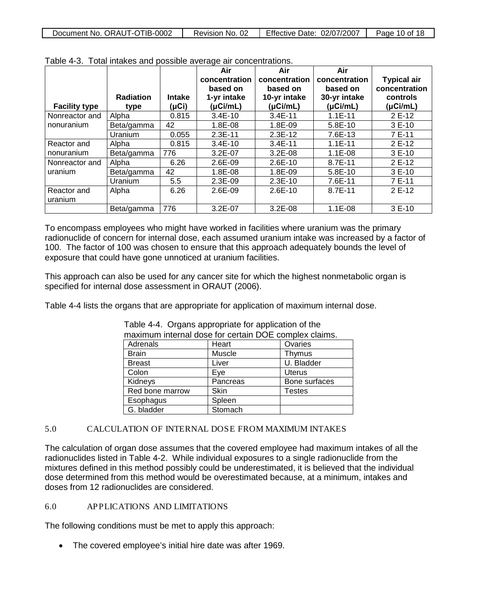| Document No. ORAUT-OTIB-0002 | Revision No. 02 | Effective Date: 02/07/2007 | Page 10 of 18 |
|------------------------------|-----------------|----------------------------|---------------|
|                              |                 |                            |               |

|                      |                  |               | Air           | Air           | Air           |                    |
|----------------------|------------------|---------------|---------------|---------------|---------------|--------------------|
|                      |                  |               | concentration | concentration | concentration | <b>Typical air</b> |
|                      |                  |               | based on      | based on      | based on      | concentration      |
|                      | <b>Radiation</b> | <b>Intake</b> | 1-yr intake   | 10-yr intake  | 30-yr intake  | controls           |
| <b>Facility type</b> | type             | (µCi)         | $(\mu$ Ci/mL) | $(\mu$ Ci/mL) | (µCi/mL)      | (µCi/mL)           |
| Nonreactor and       | Alpha            | 0.815         | $3.4E-10$     | $3.4E-11$     | $1.1E-11$     | 2 E-12             |
| nonuranium           | Beta/gamma       | 42            | 1.8E-08       | 1.8E-09       | $5.8E-10$     | 3 E-10             |
|                      | Uranium          | 0.055         | $2.3E-11$     | $2.3E-12$     | 7.6E-13       | 7 E-11             |
| Reactor and          | Alpha            | 0.815         | $3.4E-10$     | $3.4E-11$     | $1.1E-11$     | 2 E-12             |
| nonuranium           | Beta/gamma       | 776           | $3.2E - 07$   | $3.2E - 08$   | $1.1E-08$     | $3E-10$            |
| Nonreactor and       | Alpha            | 6.26          | 2.6E-09       | 2.6E-10       | 8.7E-11       | 2 E-12             |
| uranium              | Beta/gamma       | 42            | 1.8E-08       | 1.8E-09       | 5.8E-10       | 3 E-10             |
|                      | Uranium          | 5.5           | 2.3E-09       | $2.3E-10$     | 7.6E-11       | 7 E-11             |
| Reactor and          | Alpha            | 6.26          | 2.6E-09       | $2.6E-10$     | 8.7E-11       | 2 E-12             |
| uranium              |                  |               |               |               |               |                    |
|                      | Beta/gamma       | 776           | 3.2E-07       | $3.2E-08$     | $1.1E-08$     | 3 E-10             |

Table 4-3. Total intakes and possible average air concentrations.

To encompass employees who might have worked in facilities where uranium was the primary radionuclide of concern for internal dose, each assumed uranium intake was increased by a factor of 100. The factor of 100 was chosen to ensure that this approach adequately bounds the level of exposure that could have gone unnoticed at uranium facilities.

This approach can also be used for any cancer site for which the highest nonmetabolic organ is specified for internal dose assessment in ORAUT (2006).

Table 4-4 lists the organs that are appropriate for application of maximum internal dose.

| maximum internal dose for certain DOE complex claims. |          |               |  |  |  |  |
|-------------------------------------------------------|----------|---------------|--|--|--|--|
| Adrenals                                              | Heart    | Ovaries       |  |  |  |  |
| <b>Brain</b>                                          | Muscle   | Thymus        |  |  |  |  |
| <b>Breast</b>                                         | Liver    | U. Bladder    |  |  |  |  |
| Colon                                                 | Eye      | <b>Uterus</b> |  |  |  |  |
| Kidneys                                               | Pancreas | Bone surfaces |  |  |  |  |
| Red bone marrow                                       | Skin     | <b>Testes</b> |  |  |  |  |
| Esophagus                                             | Spleen   |               |  |  |  |  |
| G. bladder                                            | Stomach  |               |  |  |  |  |

Table 4-4. Organs appropriate for application of the

### 5.0 CALCULATION OF INTERNAL DOSE FROM MAXIMUM INTAKES

The calculation of organ dose assumes that the covered employee had maximum intakes of all the radionuclides listed in Table 4-2. While individual exposures to a single radionuclide from the mixtures defined in this method possibly could be underestimated, it is believed that the individual dose determined from this method would be overestimated because, at a minimum, intakes and doses from 12 radionuclides are considered.

### 6.0 APPLICATIONS AND LIMITATIONS

The following conditions must be met to apply this approach:

• The covered employee's initial hire date was after 1969.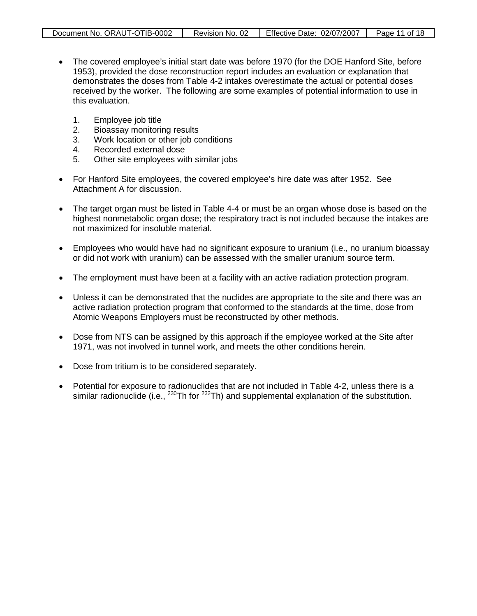| Document No. ORAUT-OTIB-0002 | Revision No. 02 | Effective Date: 02/07/2007 | Page 11 of 18 |
|------------------------------|-----------------|----------------------------|---------------|
|                              |                 |                            |               |

- The covered employee's initial start date was before 1970 (for the DOE Hanford Site, before 1953), provided the dose reconstruction report includes an evaluation or explanation that demonstrates the doses from Table 4-2 intakes overestimate the actual or potential doses received by the worker. The following are some examples of potential information to use in this evaluation.
	- 1. Employee job title
	- 2. Bioassay monitoring results
	- 3. Work location or other job conditions<br>4. Recorded external dose
	- 4. Recorded external dose<br>5. Other site emplovees wit
	- Other site employees with similar jobs
- For Hanford Site employees, the covered employee's hire date was after 1952. See Attachment A for discussion.
- The target organ must be listed in Table 4-4 or must be an organ whose dose is based on the highest nonmetabolic organ dose; the respiratory tract is not included because the intakes are not maximized for insoluble material.
- Employees who would have had no significant exposure to uranium (i.e., no uranium bioassay or did not work with uranium) can be assessed with the smaller uranium source term.
- The employment must have been at a facility with an active radiation protection program.
- Unless it can be demonstrated that the nuclides are appropriate to the site and there was an active radiation protection program that conformed to the standards at the time, dose from Atomic Weapons Employers must be reconstructed by other methods.
- Dose from NTS can be assigned by this approach if the employee worked at the Site after 1971, was not involved in tunnel work, and meets the other conditions herein.
- Dose from tritium is to be considered separately.
- Potential for exposure to radionuclides that are not included in Table 4-2, unless there is a similar radionuclide (i.e.,  $^{230}$ Th for  $^{232}$ Th) and supplemental explanation of the substitution.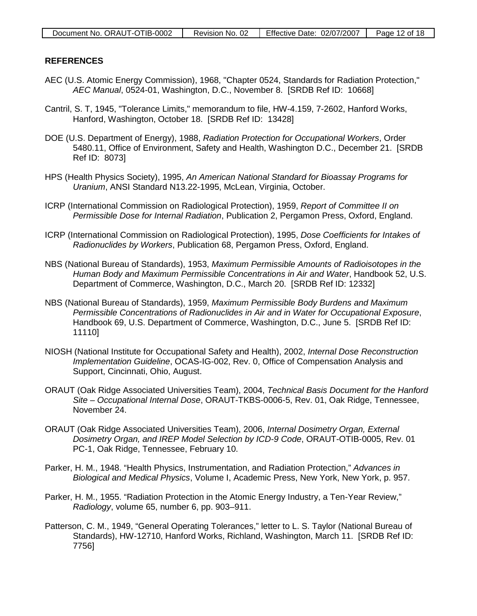#### **REFERENCES**

- AEC (U.S. Atomic Energy Commission), 1968, "Chapter 0524, Standards for Radiation Protection," *AEC Manual*, 0524-01, Washington, D.C., November 8. [SRDB Ref ID: 10668]
- Cantril, S. T, 1945, "Tolerance Limits," memorandum to file, HW-4.159, 7-2602, Hanford Works, Hanford, Washington, October 18. [SRDB Ref ID: 13428]
- DOE (U.S. Department of Energy), 1988, *Radiation Protection for Occupational Workers*, Order 5480.11, Office of Environment, Safety and Health, Washington D.C., December 21. [SRDB Ref ID: 8073]
- HPS (Health Physics Society), 1995, *An American National Standard for Bioassay Programs for Uranium*, ANSI Standard N13.22-1995, McLean, Virginia, October.
- ICRP (International Commission on Radiological Protection), 1959, *Report of Committee II on Permissible Dose for Internal Radiation*, Publication 2, Pergamon Press, Oxford, England.
- ICRP (International Commission on Radiological Protection), 1995, *Dose Coefficients for Intakes of Radionuclides by Workers*, Publication 68, Pergamon Press, Oxford, England.
- NBS (National Bureau of Standards), 1953, *Maximum Permissible Amounts of Radioisotopes in the Human Body and Maximum Permissible Concentrations in Air and Water*, Handbook 52, U.S. Department of Commerce, Washington, D.C., March 20. [SRDB Ref ID: 12332]
- NBS (National Bureau of Standards), 1959, *Maximum Permissible Body Burdens and Maximum Permissible Concentrations of Radionuclides in Air and in Water for Occupational Exposure*, Handbook 69, U.S. Department of Commerce, Washington, D.C., June 5. [SRDB Ref ID: 11110]
- NIOSH (National Institute for Occupational Safety and Health), 2002, *Internal Dose Reconstruction Implementation Guideline*, OCAS-IG-002, Rev. 0, Office of Compensation Analysis and Support, Cincinnati, Ohio, August.
- ORAUT (Oak Ridge Associated Universities Team), 2004, *Technical Basis Document for the Hanford Site – Occupational Internal Dose*, ORAUT-TKBS-0006-5, Rev. 01, Oak Ridge, Tennessee, November 24.
- ORAUT (Oak Ridge Associated Universities Team), 2006, *Internal Dosimetry Organ, External Dosimetry Organ, and IREP Model Selection by ICD-9 Code*, ORAUT-OTIB-0005, Rev. 01 PC-1, Oak Ridge, Tennessee, February 10.
- Parker, H. M., 1948. "Health Physics, Instrumentation, and Radiation Protection," *Advances in Biological and Medical Physics*, Volume I, Academic Press, New York, New York, p. 957.
- Parker, H. M., 1955. "Radiation Protection in the Atomic Energy Industry, a Ten-Year Review," *Radiology*, volume 65, number 6, pp. 903–911.
- Patterson, C. M., 1949, "General Operating Tolerances," letter to L. S. Taylor (National Bureau of Standards), HW-12710, Hanford Works, Richland, Washington, March 11. [SRDB Ref ID: 7756]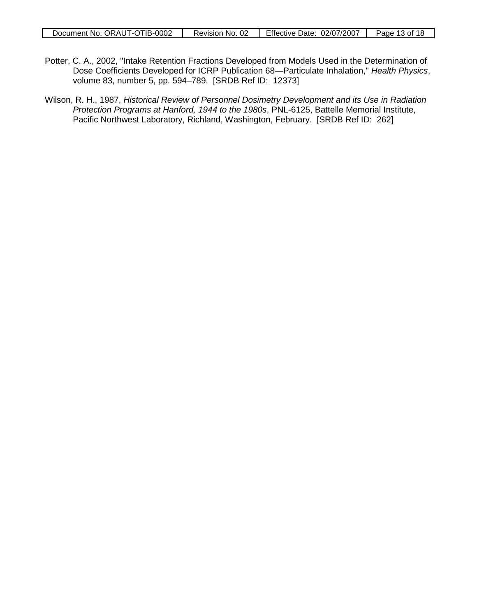- Potter, C. A., 2002, "Intake Retention Fractions Developed from Models Used in the Determination of Dose Coefficients Developed for ICRP Publication 68—Particulate Inhalation," *Health Physics*, volume 83, number 5, pp. 594–789. [SRDB Ref ID: 12373]
- Wilson, R. H., 1987, *Historical Review of Personnel Dosimetry Development and its Use in Radiation Protection Programs at Hanford, 1944 to the 1980s*, PNL-6125, Battelle Memorial Institute, Pacific Northwest Laboratory, Richland, Washington, February. [SRDB Ref ID: 262]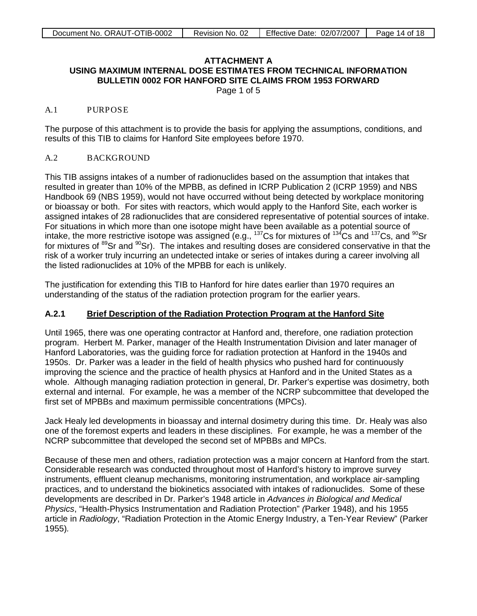Page 1 of 5

#### <span id="page-13-0"></span>A.1 PURPOSE

The purpose of this attachment is to provide the basis for applying the assumptions, conditions, and results of this TIB to claims for Hanford Site employees before 1970.

### A.2 BACKGROUND

This TIB assigns intakes of a number of radionuclides based on the assumption that intakes that resulted in greater than 10% of the MPBB, as defined in ICRP Publication 2 (ICRP 1959) and NBS Handbook 69 (NBS 1959), would not have occurred without being detected by workplace monitoring or bioassay or both. For sites with reactors, which would apply to the Hanford Site, each worker is assigned intakes of 28 radionuclides that are considered representative of potential sources of intake. For situations in which more than one isotope might have been available as a potential source of intake, the more restrictive isotope was assigned (e.g.,  $^{137}$ Cs for mixtures of  $^{134}$ Cs and  $^{137}$ Cs, and  $^{90}$ Sr for mixtures of <sup>89</sup>Sr and <sup>90</sup>Sr). The intakes and resulting doses are considered conservative in that the risk of a worker truly incurring an undetected intake or series of intakes during a career involving all the listed radionuclides at 10% of the MPBB for each is unlikely.

The justification for extending this TIB to Hanford for hire dates earlier than 1970 requires an understanding of the status of the radiation protection program for the earlier years.

#### **A.2.1 Brief Description of the Radiation Protection Program at the Hanford Site**

Until 1965, there was one operating contractor at Hanford and, therefore, one radiation protection program. Herbert M. Parker, manager of the Health Instrumentation Division and later manager of Hanford Laboratories, was the guiding force for radiation protection at Hanford in the 1940s and 1950s. Dr. Parker was a leader in the field of health physics who pushed hard for continuously improving the science and the practice of health physics at Hanford and in the United States as a whole. Although managing radiation protection in general, Dr. Parker's expertise was dosimetry, both external and internal. For example, he was a member of the NCRP subcommittee that developed the first set of MPBBs and maximum permissible concentrations (MPCs).

Jack Healy led developments in bioassay and internal dosimetry during this time. Dr. Healy was also one of the foremost experts and leaders in these disciplines. For example, he was a member of the NCRP subcommittee that developed the second set of MPBBs and MPCs.

Because of these men and others, radiation protection was a major concern at Hanford from the start. Considerable research was conducted throughout most of Hanford's history to improve survey instruments, effluent cleanup mechanisms, monitoring instrumentation, and workplace air-sampling practices, and to understand the biokinetics associated with intakes of radionuclides. Some of these developments are described in Dr. Parker's 1948 article in *Advances in Biological and Medical Physics*, "Health-Physics Instrumentation and Radiation Protection" *(*Parker 1948), and his 1955 article in *Radiology*, "Radiation Protection in the Atomic Energy Industry, a Ten-Year Review" (Parker 1955)*.*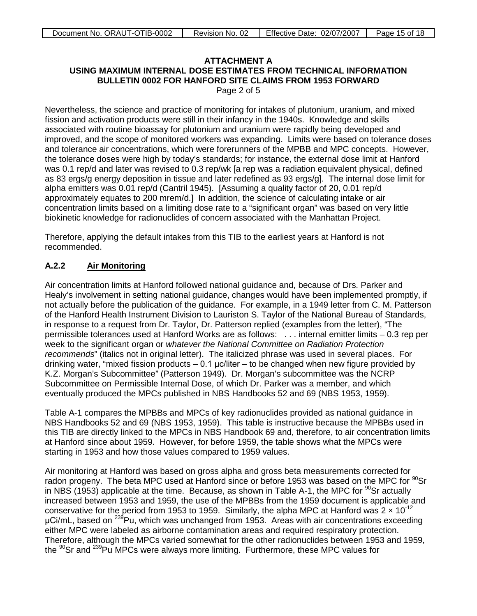Page 2 of 5

Nevertheless, the science and practice of monitoring for intakes of plutonium, uranium, and mixed fission and activation products were still in their infancy in the 1940s. Knowledge and skills associated with routine bioassay for plutonium and uranium were rapidly being developed and improved, and the scope of monitored workers was expanding. Limits were based on tolerance doses and tolerance air concentrations, which were forerunners of the MPBB and MPC concepts. However, the tolerance doses were high by today's standards; for instance, the external dose limit at Hanford was 0.1 rep/d and later was revised to 0.3 rep/wk [a rep was a radiation equivalent physical, defined as 83 ergs/g energy deposition in tissue and later redefined as 93 ergs/g]. The internal dose limit for alpha emitters was 0.01 rep/d (Cantril 1945). [Assuming a quality factor of 20, 0.01 rep/d approximately equates to 200 mrem/d.] In addition, the science of calculating intake or air concentration limits based on a limiting dose rate to a "significant organ" was based on very little biokinetic knowledge for radionuclides of concern associated with the Manhattan Project.

Therefore, applying the default intakes from this TIB to the earliest years at Hanford is not recommended.

#### **A.2.2 Air Monitoring**

Air concentration limits at Hanford followed national guidance and, because of Drs. Parker and Healy's involvement in setting national guidance, changes would have been implemented promptly, if not actually before the publication of the guidance. For example, in a 1949 letter from C. M. Patterson of the Hanford Health Instrument Division to Lauriston S. Taylor of the National Bureau of Standards, in response to a request from Dr. Taylor, Dr. Patterson replied (examples from the letter), "The permissible tolerances used at Hanford Works are as follows: . . . internal emitter limits – 0.3 rep per week to the significant organ or *whatever the National Committee on Radiation Protection recommends*" (italics not in original letter). The italicized phrase was used in several places. For drinking water, "mixed fission products  $-0.1$  µc/liter – to be changed when new figure provided by K.Z. Morgan's Subcommittee" (Patterson 1949). Dr. Morgan's subcommittee was the NCRP Subcommittee on Permissible Internal Dose, of which Dr. Parker was a member, and which eventually produced the MPCs published in NBS Handbooks 52 and 69 (NBS 1953, 1959).

Table A-1 compares the MPBBs and MPCs of key radionuclides provided as national guidance in NBS Handbooks 52 and 69 (NBS 1953, 1959). This table is instructive because the MPBBs used in this TIB are directly linked to the MPCs in NBS Handbook 69 and, therefore, to air concentration limits at Hanford since about 1959. However, for before 1959, the table shows what the MPCs were starting in 1953 and how those values compared to 1959 values.

Air monitoring at Hanford was based on gross alpha and gross beta measurements corrected for radon progeny. The beta MPC used at Hanford since or before 1953 was based on the MPC for  $^{90}$ Sr in NBS (1953) applicable at the time. Because, as shown in Table A-1, the MPC for  $90$ Sr actually increased between 1953 and 1959, the use of the MPBBs from the 1959 document is applicable and conservative for the period from 1953 to 1959. Similarly, the alpha MPC at Hanford was  $2 \times 10^{-12}$  $\mu$ Ci/mL, based on <sup>239</sup>Pu, which was unchanged from 1953. Areas with air concentrations exceeding either MPC were labeled as airborne contamination areas and required respiratory protection. Therefore, although the MPCs varied somewhat for the other radionuclides between 1953 and 1959, the  $90$ Sr and  $^{239}$ Pu MPCs were always more limiting. Furthermore, these MPC values for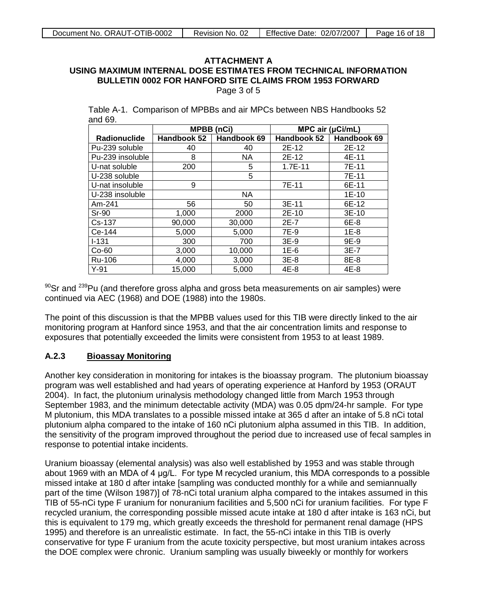Page 3 of 5

Table A-1. Comparison of MPBBs and air MPCs between NBS Handbooks 52 and 69.

|                     | <b>MPBB</b> (nCi) |             | MPC air $(\mu$ Ci/mL) |             |
|---------------------|-------------------|-------------|-----------------------|-------------|
| <b>Radionuclide</b> | Handbook 52       | Handbook 69 | Handbook 52           | Handbook 69 |
| Pu-239 soluble      | 40                | 40          | 2E-12                 | 2E-12       |
| Pu-239 insoluble    | 8                 | NA.         | 2E-12                 | 4E-11       |
| U-nat soluble       | 200               | 5           | $1.7E-11$             | 7E-11       |
| U-238 soluble       |                   | 5           |                       | 7E-11       |
| U-nat insoluble     | 9                 |             | 7E-11                 | 6E-11       |
| U-238 insoluble     |                   | <b>NA</b>   |                       | 1E-10       |
| Am-241              | 56                | 50          | 3E-11                 | 6E-12       |
| $Sr-90$             | 1,000             | 2000        | $2E-10$               | $3E-10$     |
| Cs-137              | 90,000            | 30,000      | $2E-7$                | 6E-8        |
| Ce-144              | 5,000             | 5,000       | 7E-9                  | 1E-8        |
| $I - 131$           | 300               | 700         | $3E-9$                | 9E-9        |
| $Co-60$             | 3,000             | 10,000      | $1E-6$                | $3E-7$      |
| Ru-106              | 4,000             | 3,000       | $3E-8$                | 8E-8        |
| $Y-91$              | 15.000            | 5,000       | 4E-8                  | 4E-8        |

 $90$ Sr and  $239$ Pu (and therefore gross alpha and gross beta measurements on air samples) were continued via AEC (1968) and DOE (1988) into the 1980s.

The point of this discussion is that the MPBB values used for this TIB were directly linked to the air monitoring program at Hanford since 1953, and that the air concentration limits and response to exposures that potentially exceeded the limits were consistent from 1953 to at least 1989.

#### **A.2.3 Bioassay Monitoring**

Another key consideration in monitoring for intakes is the bioassay program. The plutonium bioassay program was well established and had years of operating experience at Hanford by 1953 (ORAUT 2004). In fact, the plutonium urinalysis methodology changed little from March 1953 through September 1983, and the minimum detectable activity (MDA) was 0.05 dpm/24-hr sample. For type M plutonium, this MDA translates to a possible missed intake at 365 d after an intake of 5.8 nCi total plutonium alpha compared to the intake of 160 nCi plutonium alpha assumed in this TIB. In addition, the sensitivity of the program improved throughout the period due to increased use of fecal samples in response to potential intake incidents.

Uranium bioassay (elemental analysis) was also well established by 1953 and was stable through about 1969 with an MDA of 4 μg/L. For type M recycled uranium, this MDA corresponds to a possible missed intake at 180 d after intake [sampling was conducted monthly for a while and semiannually part of the time (Wilson 1987)] of 78-nCi total uranium alpha compared to the intakes assumed in this TIB of 55-nCi type F uranium for nonuranium facilities and 5,500 nCi for uranium facilities. For type F recycled uranium, the corresponding possible missed acute intake at 180 d after intake is 163 nCi, but this is equivalent to 179 mg, which greatly exceeds the threshold for permanent renal damage (HPS 1995) and therefore is an unrealistic estimate. In fact, the 55-nCi intake in this TIB is overly conservative for type F uranium from the acute toxicity perspective, but most uranium intakes across the DOE complex were chronic. Uranium sampling was usually biweekly or monthly for workers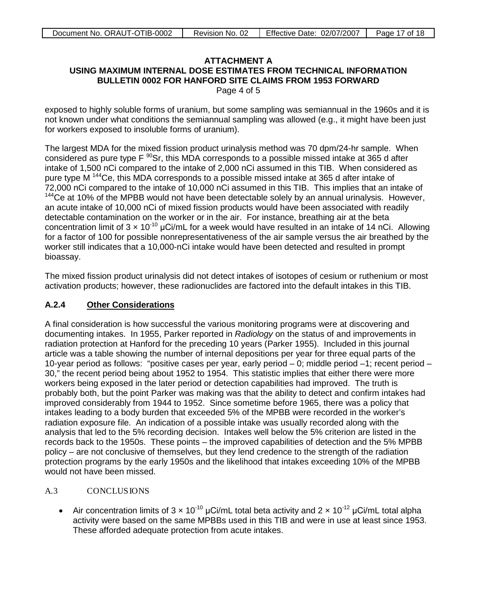Page 4 of 5

exposed to highly soluble forms of uranium, but some sampling was semiannual in the 1960s and it is not known under what conditions the semiannual sampling was allowed (e.g., it might have been just for workers exposed to insoluble forms of uranium).

The largest MDA for the mixed fission product urinalysis method was 70 dpm/24-hr sample. When considered as pure type  $F^{90}Sr$ , this MDA corresponds to a possible missed intake at 365 d after intake of 1,500 nCi compared to the intake of 2,000 nCi assumed in this TIB. When considered as pure type M <sup>144</sup>Ce, this MDA corresponds to a possible missed intake at 365 d after intake of 72,000 nCi compared to the intake of 10,000 nCi assumed in this TIB. This implies that an intake of <sup>144</sup>Ce at 10% of the MPBB would not have been detectable solely by an annual urinalysis. However, an acute intake of 10,000 nCi of mixed fission products would have been associated with readily detectable contamination on the worker or in the air. For instance, breathing air at the beta concentration limit of  $3 \times 10^{-10}$  µCi/mL for a week would have resulted in an intake of 14 nCi. Allowing for a factor of 100 for possible nonrepresentativeness of the air sample versus the air breathed by the worker still indicates that a 10,000-nCi intake would have been detected and resulted in prompt bioassay.

The mixed fission product urinalysis did not detect intakes of isotopes of cesium or ruthenium or most activation products; however, these radionuclides are factored into the default intakes in this TIB.

#### **A.2.4 Other Considerations**

A final consideration is how successful the various monitoring programs were at discovering and documenting intakes. In 1955, Parker reported in *Radiology* on the status of and improvements in radiation protection at Hanford for the preceding 10 years (Parker 1955). Included in this journal article was a table showing the number of internal depositions per year for three equal parts of the 10-year period as follows: "positive cases per year, early period – 0; middle period –1; recent period – 30," the recent period being about 1952 to 1954. This statistic implies that either there were more workers being exposed in the later period or detection capabilities had improved. The truth is probably both, but the point Parker was making was that the ability to detect and confirm intakes had improved considerably from 1944 to 1952. Since sometime before 1965, there was a policy that intakes leading to a body burden that exceeded 5% of the MPBB were recorded in the worker's radiation exposure file. An indication of a possible intake was usually recorded along with the analysis that led to the 5% recording decision. Intakes well below the 5% criterion are listed in the records back to the 1950s. These points – the improved capabilities of detection and the 5% MPBB policy – are not conclusive of themselves, but they lend credence to the strength of the radiation protection programs by the early 1950s and the likelihood that intakes exceeding 10% of the MPBB would not have been missed.

### A.3 CONCLUSIONS

• Air concentration limits of  $3 \times 10^{-10}$  µCi/mL total beta activity and  $2 \times 10^{-12}$  µCi/mL total alpha activity were based on the same MPBBs used in this TIB and were in use at least since 1953. These afforded adequate protection from acute intakes.